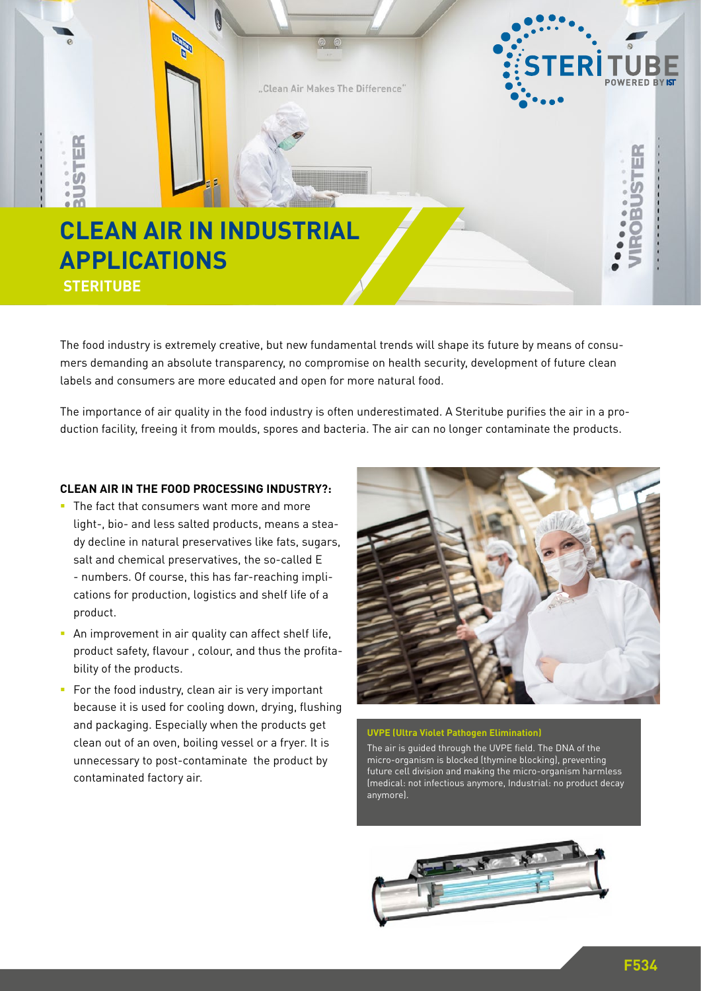

The food industry is extremely creative, but new fundamental trends will shape its future by means of consumers demanding an absolute transparency, no compromise on health security, development of future clean labels and consumers are more educated and open for more natural food.

The importance of air quality in the food industry is often underestimated. A Steritube purifies the air in a production facility, freeing it from moulds, spores and bacteria. The air can no longer contaminate the products.

## **CLEAN AIR IN THE FOOD PROCESSING INDUSTRY?:**

- The fact that consumers want more and more light-, bio- and less salted products, means a steady decline in natural preservatives like fats, sugars, salt and chemical preservatives, the so-called E - numbers. Of course, this has far-reaching implications for production, logistics and shelf life of a product.
- **An improvement in air quality can affect shelf life,** product safety, flavour , colour, and thus the profitability of the products.
- For the food industry, clean air is very important because it is used for cooling down, drying, flushing and packaging. Especially when the products get clean out of an oven, boiling vessel or a fryer. It is unnecessary to post-contaminate the product by contaminated factory air.



## **UVPE (Ultra Violet Pathogen Elimination)**

The air is guided through the UVPE field. The DNA of the micro-organism is blocked (thymine blocking), preventing future cell division and making the micro-organism harmless (medical: not infectious anymore, Industrial: no product decay anymore).